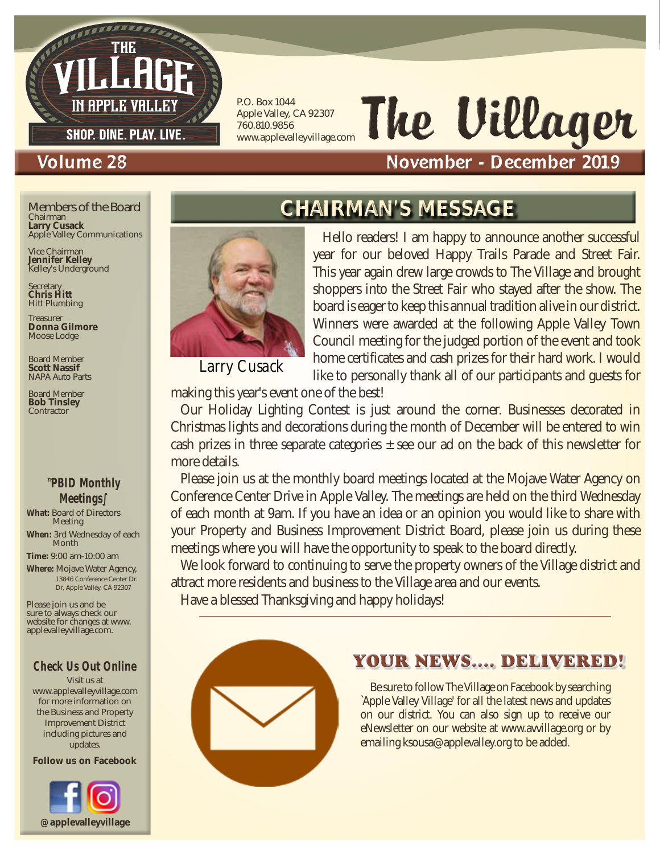

P.O. Box 1044 Apple Valley, CA 92307 760.810.9856 www.applevalleyvillage.com

# The Villager

#### Volume 28 November - December 2019

Chairman **Larry Cusack** Apple Valley Communications Members of the Board

Vice Chairman **Jennifer Kelley** Kelley's Underground

Secretary **Chris Hitt** Hitt Plumbing

Treasurer **Donna Gilmore** Moose Lodge

Board Member **Scott Nassif** NAPA Auto Parts

Board Member **Bob Tinsley Contractor** 

#### ™PBID Monthly Meetings∫

**What:** Board of Directors Meeting

**When:** 3rd Wednesday of each Month

**Time:** 9:00 am-10:00 am

**Where:** Mojave Water Agency, 13846 Conference Center Dr. Dr, Apple Valley, CA 92307

Please join us and be sure to always check our website for changes at www. applevalleyvillage.com.

#### Check Us Out Online

Visit us at www.applevalleyvillage.com for more information on the Business and Property Improvement District including pictures and updates.

Follow us on Facebook



### CHAIRMAN'S MESSAGE



*Larry Cusack*

Hello readers! I am happy to announce another successful year for our beloved Happy Trails Parade and Street Fair. This year again drew large crowds to The Village and brought shoppers into the Street Fair who stayed after the show. The board is eager to keep this annual tradition alive in our district. Winners were awarded at the following Apple Valley Town Council meeting for the judged portion of the event and took home certificates and cash prizes for their hard work. I would like to personally thank all of our participants and guests for

making this year's event one of the best!

Our Holiday Lighting Contest is just around the corner. Businesses decorated in Christmas lights and decorations during the month of December will be entered to win cash prizes in three separate categories  $\pm$  see our ad on the back of this newsletter for more details.

Please join us at the monthly board meetings located at the Mojave Water Agency on Conference Center Drive in Apple Valley. The meetings are held on the third Wednesday of each month at 9am. If you have an idea or an opinion you would like to share with your Property and Business Improvement District Board, please join us during these meetings where you will have the opportunity to speak to the board directly.

We look forward to continuing to serve the property owners of the Village district and attract more residents and business to the Village area and our events.

Have a blessed Thanksgiving and happy holidays!



#### YOUR NEWS.... DELIVERED!

Be sure to follow The Village on Facebook by searching `Apple Valley Village' for all the latest news and updates on our district. You can also sign up to receive our eNewsletter on our website at www.avvillage.org or by emailing ksousa@applevalley.org to be added.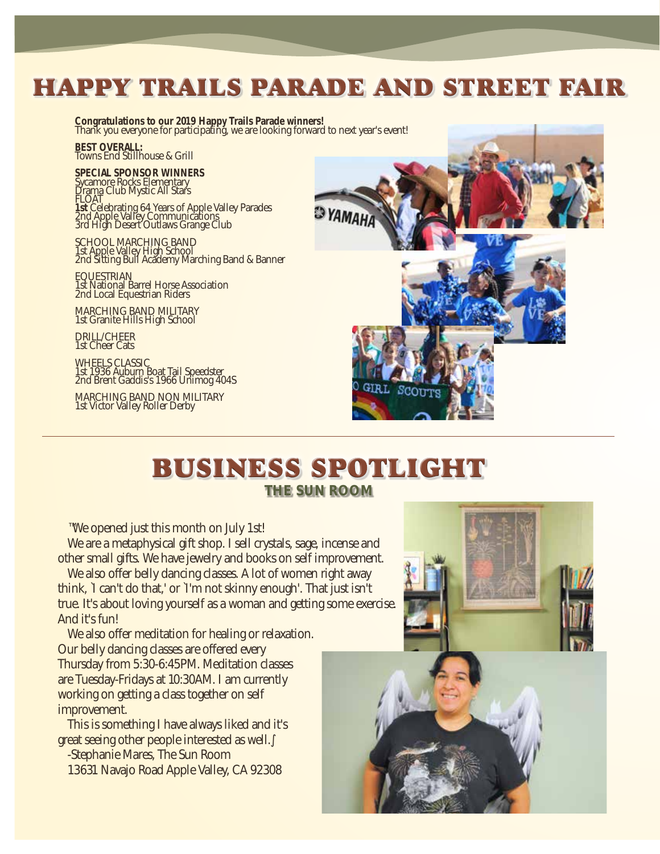### HAPPY TRAILS PARADE AND STREET FAIR

**Congratulations to our 2019 Happy Trails Parade winners!** Thank you everyone for participating, we are looking forward to next year's event!

**BEST OVERALL:** Towns End Stillhouse & Grill

**SPECIAL SPONSOR WINNERS** Sycamore Rocks Elementary Drama Club Mystic All Stars FLOAT **1st Celebrating 64 Years of Apple Valley Parades<br>2nd Apple Valley Communications** 3rd High Desert Outlaws Grange Club

SCHOOL MARCHING BAND 1st Apple Valley High School 2nd Sitting Bull Academy Marching Band & Banner

EQUESTRIAN 1st National Barrel Horse Association 2nd Local Equestrian Riders

MARCHING BAND MILITARY 1st Granite Hills High School

DRILL/CHEER 1st Cheer Cats

WHEELS CLASSIC 1st 1936 Auburn Boat Tail Speedster 2nd Brent Gaddis's 1966 Unimog 404S

MARCHING BAND NON MILITARY 1st Victor Valley Roller Derby



#### BUSINESS SPOTLIGHT THE SUN ROOM

™We opened just this month on July 1st!

We are a metaphysical gift shop. I sell crystals, sage, incense and other small gifts. We have jewelry and books on self improvement.

We also offer belly dancing classes. A lot of women right away think, `I can't do that,' or `I'm not skinny enough'. That just isn't true. It's about loving yourself as a woman and getting some exercise. And it's fun!

We also offer meditation for healing or relaxation. Our belly dancing classes are offered every Thursday from 5:30-6:45PM. Meditation classes are Tuesday-Fridays at 10:30AM. I am currently working on getting a class together on self improvement.

This is something I have always liked and it's great seeing other people interested as well.

-Stephanie Mares, The Sun Room 13631 Navajo Road Apple Valley, CA 92308



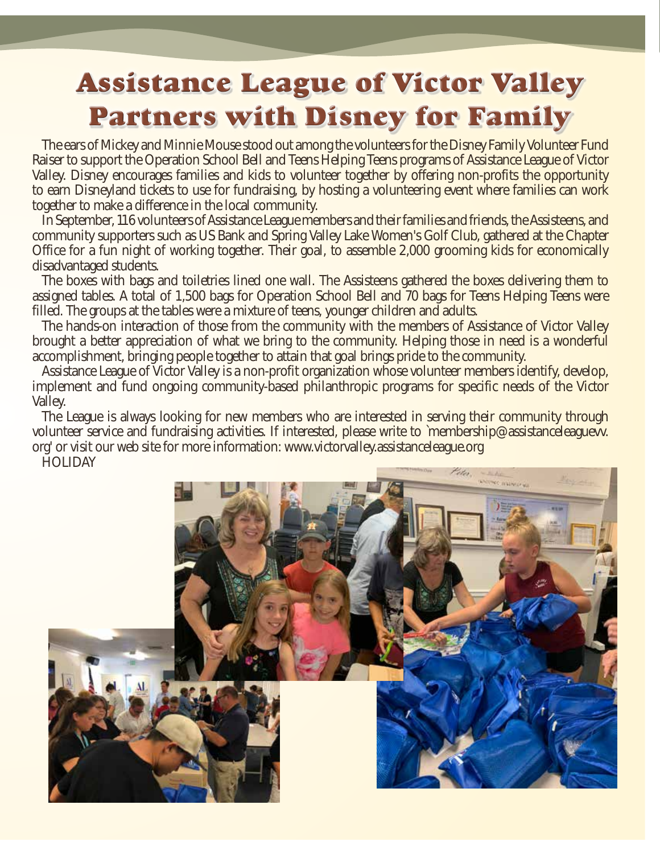## Assistance League of Victor Valley Partners with Disney for Family

The ears of Mickey and Minnie Mouse stood out among the volunteers for the Disney Family Volunteer Fund Raiser to support the Operation School Bell and Teens Helping Teens programs of Assistance League of Victor Valley. Disney encourages families and kids to volunteer together by offering non-profits the opportunity to earn Disneyland tickets to use for fundraising, by hosting a volunteering event where families can work together to make a difference in the local community.

In September, 116 volunteers of Assistance League members and their families and friends, the Assisteens, and community supporters such as US Bank and Spring Valley Lake Women's Golf Club, gathered at the Chapter Office for a fun night of working together. Their goal, to assemble 2,000 grooming kids for economically disadvantaged students.

The boxes with bags and toiletries lined one wall. The Assisteens gathered the boxes delivering them to assigned tables. A total of 1,500 bags for Operation School Bell and 70 bags for Teens Helping Teens were filled. The groups at the tables were a mixture of teens, younger children and adults.

The hands-on interaction of those from the community with the members of Assistance of Victor Valley brought a better appreciation of what we bring to the community. Helping those in need is a wonderful accomplishment, bringing people together to attain that goal brings pride to the community.

Assistance League of Victor Valley is a non-profit organization whose volunteer members identify, develop, implement and fund ongoing community-based philanthropic programs for specific needs of the Victor Valley.

The League is always looking for new members who are interested in serving their community through volunteer service and fundraising activities. If interested, please write to `membership@assistanceleaguevv. org' or visit our web site for more information: www.victorvalley.assistanceleague.org

HOLIDAY